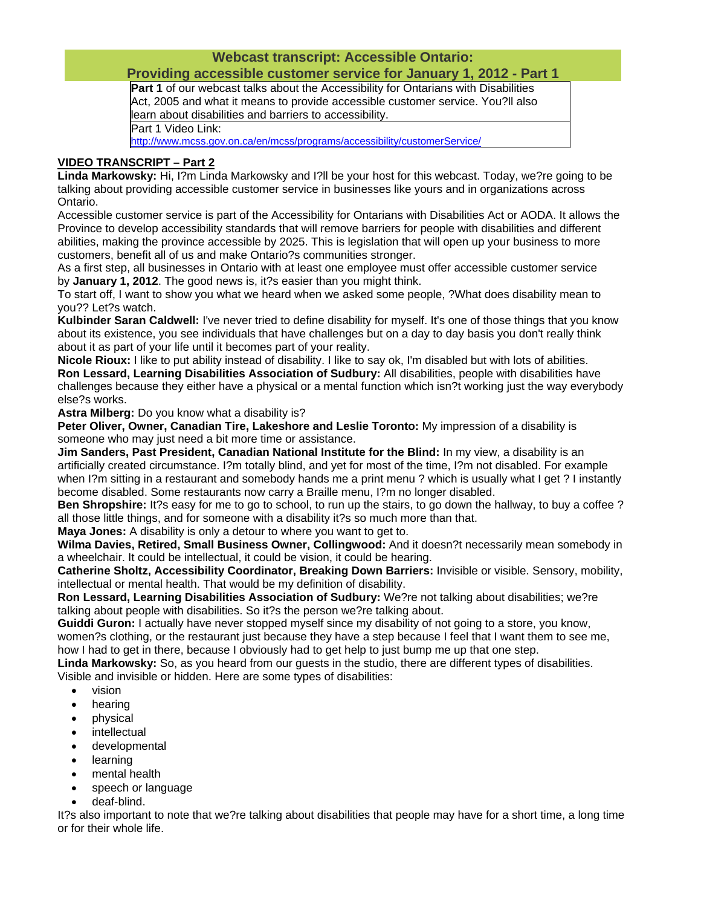## **Webcast transcript: Accessible Ontario:**

## **Providing accessible customer service for January 1, 2012 - Part 1**

Part 1 of our webcast talks about the Accessibility for Ontarians with Disabilities Act, 2005 and what it means to provide accessible customer service. You?ll also learn about disabilities and barriers to accessibility. Part 1 Video Link:

http://www.mcss.gov.on.ca/en/mcss/programs/accessibility/customerService/

## **VIDEO TRANSCRIPT – Part 2**

**Linda Markowsky:** Hi, I?m Linda Markowsky and I?ll be your host for this webcast. Today, we?re going to be talking about providing accessible customer service in businesses like yours and in organizations across Ontario.

Accessible customer service is part of the Accessibility for Ontarians with Disabilities Act or AODA. It allows the Province to develop accessibility standards that will remove barriers for people with disabilities and different abilities, making the province accessible by 2025. This is legislation that will open up your business to more customers, benefit all of us and make Ontario?s communities stronger.

As a first step, all businesses in Ontario with at least one employee must offer accessible customer service by **January 1, 2012**. The good news is, it?s easier than you might think.

To start off, I want to show you what we heard when we asked some people, ?What does disability mean to you?? Let?s watch.

**Kulbinder Saran Caldwell:** I've never tried to define disability for myself. It's one of those things that you know about its existence, you see individuals that have challenges but on a day to day basis you don't really think about it as part of your life until it becomes part of your reality.

**Nicole Rioux:** I like to put ability instead of disability. I like to say ok, I'm disabled but with lots of abilities. **Ron Lessard, Learning Disabilities Association of Sudbury:** All disabilities, people with disabilities have challenges because they either have a physical or a mental function which isn?t working just the way everybody else?s works.

**Astra Milberg:** Do you know what a disability is?

**Peter Oliver, Owner, Canadian Tire, Lakeshore and Leslie Toronto:** My impression of a disability is someone who may just need a bit more time or assistance.

**Jim Sanders, Past President, Canadian National Institute for the Blind:** In my view, a disability is an artificially created circumstance. I?m totally blind, and yet for most of the time, I?m not disabled. For example when I?m sitting in a restaurant and somebody hands me a print menu ? which is usually what I get ? I instantly become disabled. Some restaurants now carry a Braille menu, I?m no longer disabled.

**Ben Shropshire:** It?s easy for me to go to school, to run up the stairs, to go down the hallway, to buy a coffee ? all those little things, and for someone with a disability it?s so much more than that.

**Maya Jones:** A disability is only a detour to where you want to get to.

**Wilma Davies, Retired, Small Business Owner, Collingwood:** And it doesn?t necessarily mean somebody in a wheelchair. It could be intellectual, it could be vision, it could be hearing.

**Catherine Sholtz, Accessibility Coordinator, Breaking Down Barriers:** Invisible or visible. Sensory, mobility, intellectual or mental health. That would be my definition of disability.

**Ron Lessard, Learning Disabilities Association of Sudbury:** We?re not talking about disabilities; we?re talking about people with disabilities. So it?s the person we?re talking about.

**Guiddi Guron:** I actually have never stopped myself since my disability of not going to a store, you know, women?s clothing, or the restaurant just because they have a step because I feel that I want them to see me, how I had to get in there, because I obviously had to get help to just bump me up that one step.

**Linda Markowsky:** So, as you heard from our guests in the studio, there are different types of disabilities. Visible and invisible or hidden. Here are some types of disabilities:

- vision
- hearing
- physical
- intellectual
- developmental
- learning
- mental health
- speech or language
- deaf-blind.

It?s also important to note that we?re talking about disabilities that people may have for a short time, a long time or for their whole life.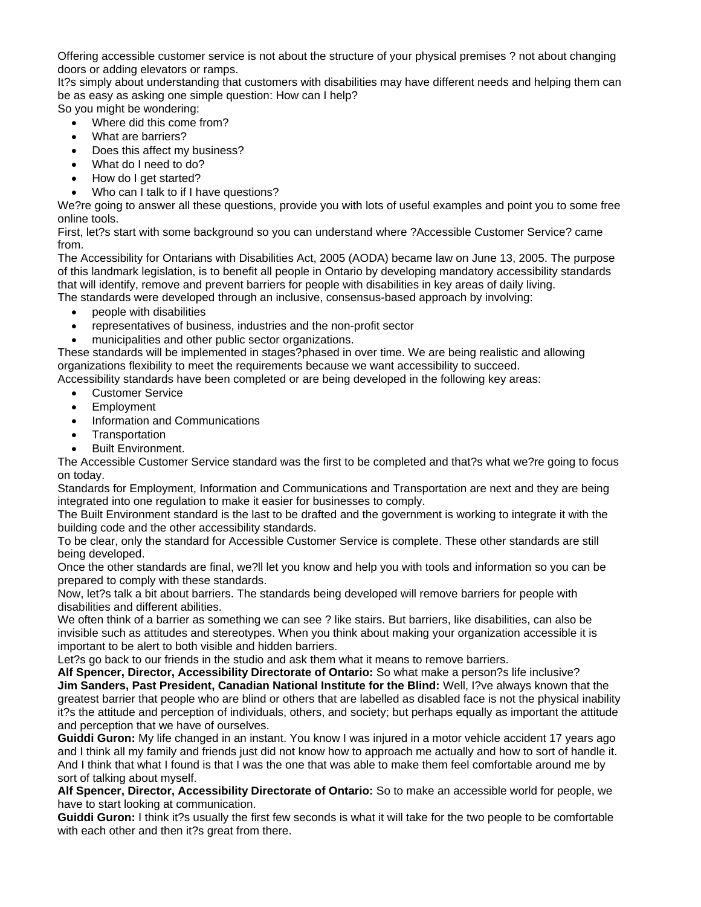Offering accessible customer service is not about the structure of your physical premises ? not about changing doors or adding elevators or ramps.

It?s simply about understanding that customers with disabilities may have different needs and helping them can be as easy as asking one simple question: How can I help?

So you might be wondering:

- Where did this come from?
- What are barriers?
- Does this affect my business?
- What do I need to do?
- How do I get started?
- Who can I talk to if I have questions?

We?re going to answer all these questions, provide you with lots of useful examples and point you to some free online tools.

First, let?s start with some background so you can understand where ?Accessible Customer Service? came from.

The Accessibility for Ontarians with Disabilities Act, 2005 (AODA) became law on June 13, 2005. The purpose of this landmark legislation, is to benefit all people in Ontario by developing mandatory accessibility standards that will identify, remove and prevent barriers for people with disabilities in key areas of daily living. The standards were developed through an inclusive, consensus-based approach by involving:

- people with disabilities
- representatives of business, industries and the non-profit sector
- municipalities and other public sector organizations.

These standards will be implemented in stages?phased in over time. We are being realistic and allowing organizations flexibility to meet the requirements because we want accessibility to succeed.

Accessibility standards have been completed or are being developed in the following key areas:

- Customer Service
- Employment
- Information and Communications
- **Transportation**
- Built Environment.

The Accessible Customer Service standard was the first to be completed and that?s what we?re going to focus on today.

Standards for Employment, Information and Communications and Transportation are next and they are being integrated into one regulation to make it easier for businesses to comply.

The Built Environment standard is the last to be drafted and the government is working to integrate it with the building code and the other accessibility standards.

To be clear, only the standard for Accessible Customer Service is complete. These other standards are still being developed.

Once the other standards are final, we?ll let you know and help you with tools and information so you can be prepared to comply with these standards.

Now, let?s talk a bit about barriers. The standards being developed will remove barriers for people with disabilities and different abilities.

We often think of a barrier as something we can see ? like stairs. But barriers, like disabilities, can also be invisible such as attitudes and stereotypes. When you think about making your organization accessible it is important to be alert to both visible and hidden barriers.

Let?s go back to our friends in the studio and ask them what it means to remove barriers.

**Alf Spencer, Director, Accessibility Directorate of Ontario:** So what make a person?s life inclusive? **Jim Sanders, Past President, Canadian National Institute for the Blind:** Well, I?ve always known that the greatest barrier that people who are blind or others that are labelled as disabled face is not the physical inability it?s the attitude and perception of individuals, others, and society; but perhaps equally as important the attitude and perception that we have of ourselves.

**Guiddi Guron:** My life changed in an instant. You know I was injured in a motor vehicle accident 17 years ago and I think all my family and friends just did not know how to approach me actually and how to sort of handle it. And I think that what I found is that I was the one that was able to make them feel comfortable around me by sort of talking about myself.

**Alf Spencer, Director, Accessibility Directorate of Ontario:** So to make an accessible world for people, we have to start looking at communication.

**Guiddi Guron:** I think it?s usually the first few seconds is what it will take for the two people to be comfortable with each other and then it?s great from there.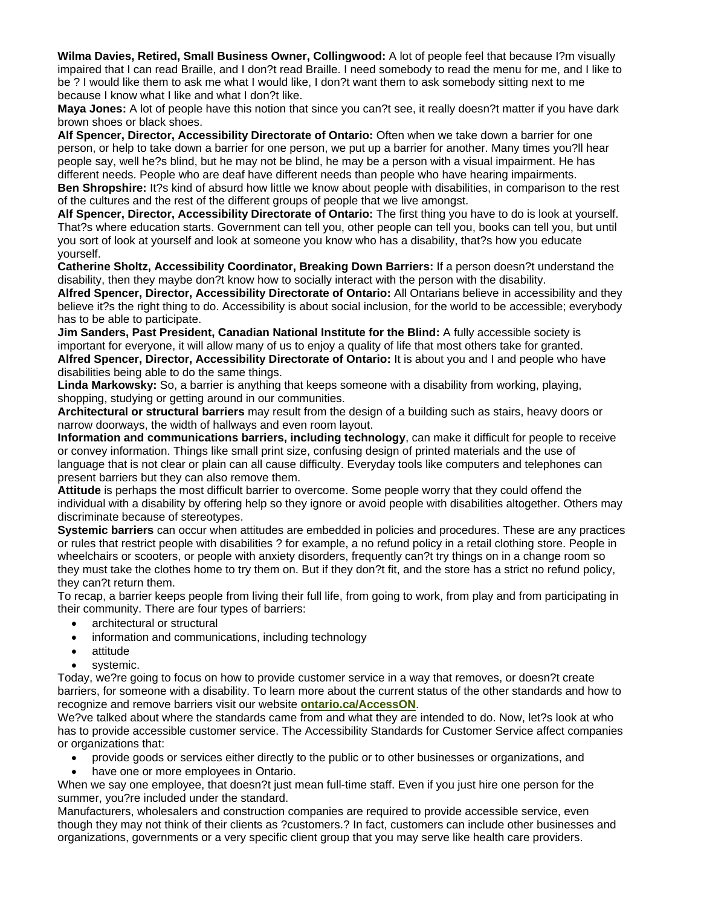**Wilma Davies, Retired, Small Business Owner, Collingwood:** A lot of people feel that because I?m visually impaired that I can read Braille, and I don?t read Braille. I need somebody to read the menu for me, and I like to be ? I would like them to ask me what I would like, I don?t want them to ask somebody sitting next to me because I know what I like and what I don?t like.

**Maya Jones:** A lot of people have this notion that since you can?t see, it really doesn?t matter if you have dark brown shoes or black shoes.

**Alf Spencer, Director, Accessibility Directorate of Ontario:** Often when we take down a barrier for one person, or help to take down a barrier for one person, we put up a barrier for another. Many times you?ll hear people say, well he?s blind, but he may not be blind, he may be a person with a visual impairment. He has different needs. People who are deaf have different needs than people who have hearing impairments. **Ben Shropshire:** It?s kind of absurd how little we know about people with disabilities, in comparison to the rest

of the cultures and the rest of the different groups of people that we live amongst.

**Alf Spencer, Director, Accessibility Directorate of Ontario:** The first thing you have to do is look at yourself. That?s where education starts. Government can tell you, other people can tell you, books can tell you, but until you sort of look at yourself and look at someone you know who has a disability, that?s how you educate yourself.

**Catherine Sholtz, Accessibility Coordinator, Breaking Down Barriers:** If a person doesn?t understand the disability, then they maybe don?t know how to socially interact with the person with the disability.

**Alfred Spencer, Director, Accessibility Directorate of Ontario:** All Ontarians believe in accessibility and they believe it?s the right thing to do. Accessibility is about social inclusion, for the world to be accessible; everybody has to be able to participate.

**Jim Sanders, Past President, Canadian National Institute for the Blind:** A fully accessible society is important for everyone, it will allow many of us to enjoy a quality of life that most others take for granted. **Alfred Spencer, Director, Accessibility Directorate of Ontario:** It is about you and I and people who have disabilities being able to do the same things.

**Linda Markowsky:** So, a barrier is anything that keeps someone with a disability from working, playing, shopping, studying or getting around in our communities.

**Architectural or structural barriers** may result from the design of a building such as stairs, heavy doors or narrow doorways, the width of hallways and even room layout.

**Information and communications barriers, including technology**, can make it difficult for people to receive or convey information. Things like small print size, confusing design of printed materials and the use of language that is not clear or plain can all cause difficulty. Everyday tools like computers and telephones can present barriers but they can also remove them.

**Attitude** is perhaps the most difficult barrier to overcome. Some people worry that they could offend the individual with a disability by offering help so they ignore or avoid people with disabilities altogether. Others may discriminate because of stereotypes.

**Systemic barriers** can occur when attitudes are embedded in policies and procedures. These are any practices or rules that restrict people with disabilities ? for example, a no refund policy in a retail clothing store. People in wheelchairs or scooters, or people with anxiety disorders, frequently can?t try things on in a change room so they must take the clothes home to try them on. But if they don?t fit, and the store has a strict no refund policy, they can?t return them.

To recap, a barrier keeps people from living their full life, from going to work, from play and from participating in their community. There are four types of barriers:

- architectural or structural
- information and communications, including technology
- attitude
- systemic.

Today, we?re going to focus on how to provide customer service in a way that removes, or doesn?t create barriers, for someone with a disability. To learn more about the current status of the other standards and how to recognize and remove barriers visit our website **ontario.ca/AccessON**.

We?ve talked about where the standards came from and what they are intended to do. Now, let?s look at who has to provide accessible customer service. The Accessibility Standards for Customer Service affect companies or organizations that:

- provide goods or services either directly to the public or to other businesses or organizations, and
- have one or more employees in Ontario.

When we say one employee, that doesn?t just mean full-time staff. Even if you just hire one person for the summer, you?re included under the standard.

Manufacturers, wholesalers and construction companies are required to provide accessible service, even though they may not think of their clients as ?customers.? In fact, customers can include other businesses and organizations, governments or a very specific client group that you may serve like health care providers.